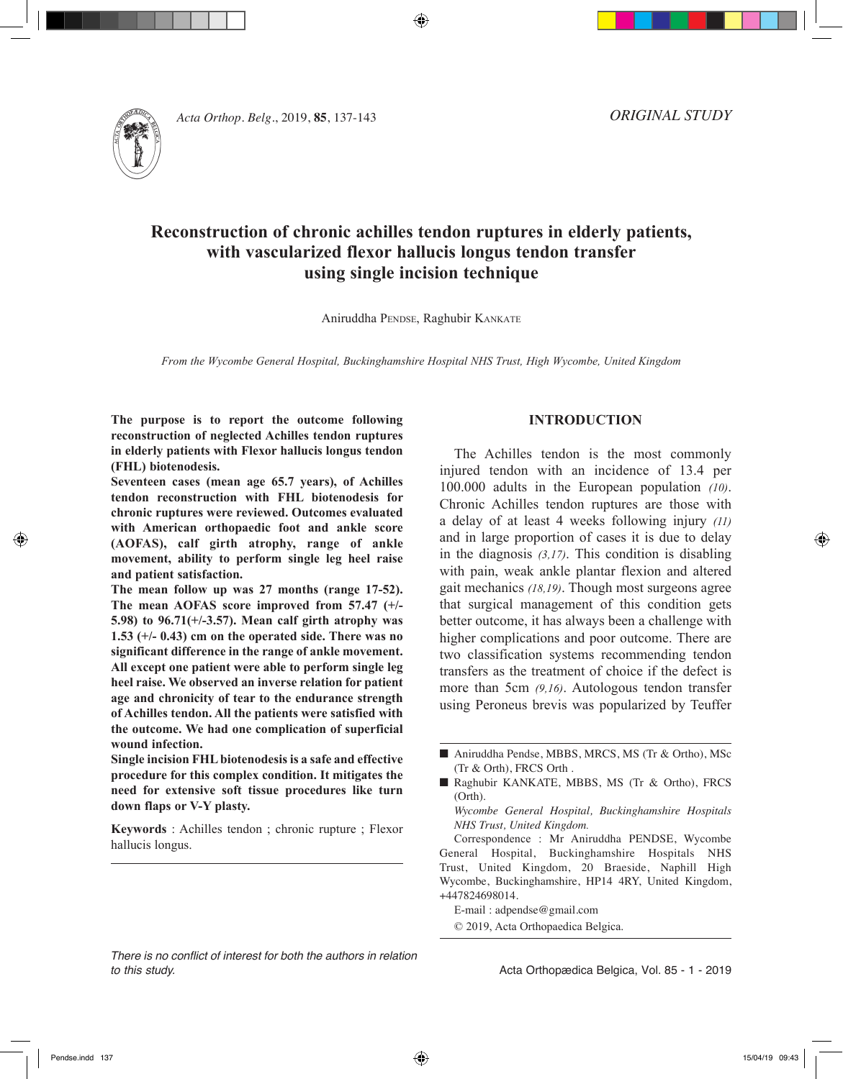

*Acta Orthop. Belg.*, 2019, **85**, 137-143

*ORIGINAL STUDY*

# **Reconstruction of chronic achilles tendon ruptures in elderly patients, with vascularized flexor hallucis longus tendon transfer using single incision technique**

⊕

Aniruddha PENDSE, Raghubir KANKATE

*From the Wycombe General Hospital, Buckinghamshire Hospital NHS Trust, High Wycombe, United Kingdom*

**The purpose is to report the outcome following reconstruction of neglected Achilles tendon ruptures in elderly patients with Flexor hallucis longus tendon (FHL) biotenodesis.**

**Seventeen cases (mean age 65.7 years), of Achilles tendon reconstruction with FHL biotenodesis for chronic ruptures were reviewed. Outcomes evaluated with American orthopaedic foot and ankle score (AOFAS), calf girth atrophy, range of ankle movement, ability to perform single leg heel raise and patient satisfaction.**

**The mean follow up was 27 months (range 17-52). The mean AOFAS score improved from 57.47 (+/- 5.98) to 96.71(+/-3.57). Mean calf girth atrophy was 1.53 (+/- 0.43) cm on the operated side. There was no significant difference in the range of ankle movement. All except one patient were able to perform single leg heel raise. We observed an inverse relation for patient age and chronicity of tear to the endurance strength of Achilles tendon. All the patients were satisfied with the outcome. We had one complication of superficial wound infection.** 

**Single incision FHL biotenodesis is a safe and effective procedure for this complex condition. It mitigates the need for extensive soft tissue procedures like turn down flaps or V-Y plasty.** 

**Keywords** : Achilles tendon ; chronic rupture ; Flexor hallucis longus.

#### *There is no conflict of interest for both the authors in relation to this study.*

#### **INTRODUCTION**

The Achilles tendon is the most commonly injured tendon with an incidence of 13.4 per 100.000 adults in the European population *(10)*. Chronic Achilles tendon ruptures are those with a delay of at least 4 weeks following injury *(11)* and in large proportion of cases it is due to delay in the diagnosis *(3,17)*. This condition is disabling with pain, weak ankle plantar flexion and altered gait mechanics *(18,19)*. Though most surgeons agree that surgical management of this condition gets better outcome, it has always been a challenge with higher complications and poor outcome. There are two classification systems recommending tendon transfers as the treatment of choice if the defect is more than 5cm *(9,16)*. Autologous tendon transfer using Peroneus brevis was popularized by Teuffer

*Wycombe General Hospital, Buckinghamshire Hospitals NHS Trust, United Kingdom.*

Correspondence : Mr Aniruddha PENDSE, Wycombe General Hospital, Buckinghamshire Hospitals NHS Trust, United Kingdom, 20 Braeside, Naphill High Wycombe, Buckinghamshire, HP14 4RY, United Kingdom, +447824698014.

E-mail : adpendse@gmail.com © 2019, Acta Orthopaedica Belgica.

Acta Orthopædica Belgica, Vol. 85 - 1 - 2019

<sup>■</sup> Aniruddha Pendse, MBBS, MRCS, MS (Tr & Ortho), MSc (Tr & Orth), FRCS Orth .

<sup>■</sup> Raghubir KANKATE, MBBS, MS (Tr & Ortho), FRCS  $(Orth)$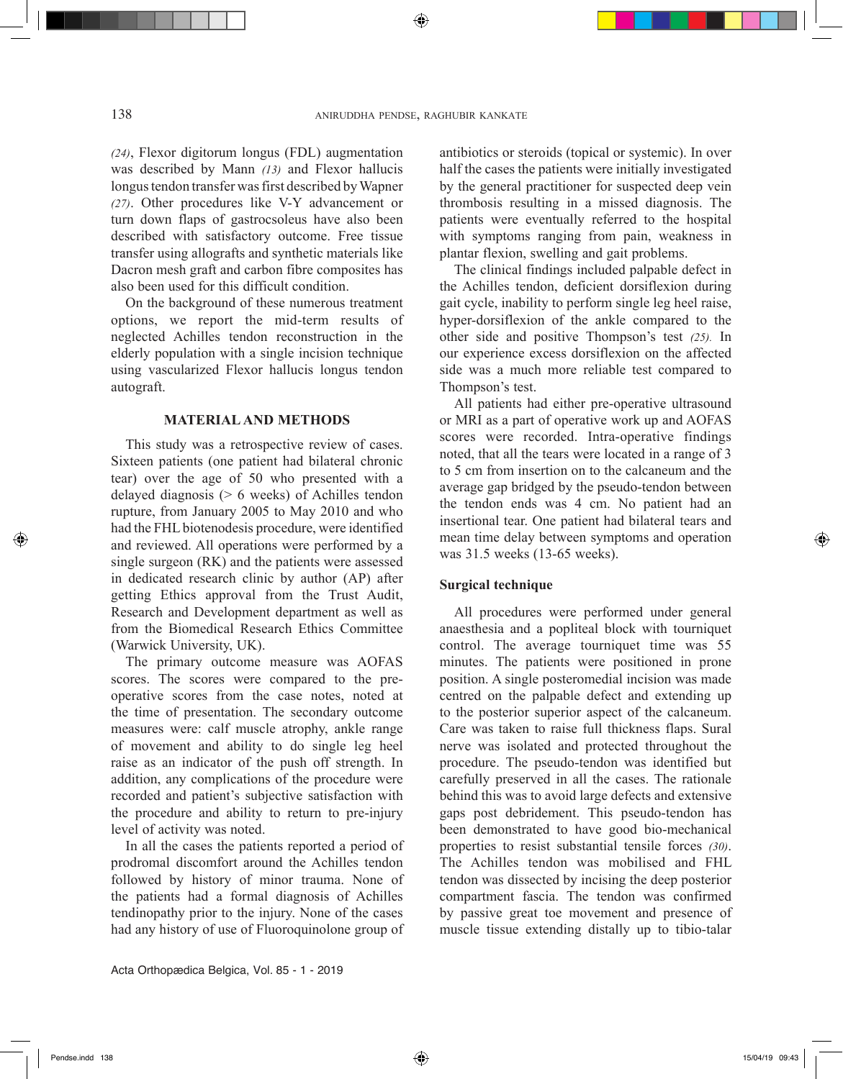*(24)*, Flexor digitorum longus (FDL) augmentation was described by Mann *(13)* and Flexor hallucis longus tendon transfer was first described by Wapner *(27)*. Other procedures like V-Y advancement or turn down flaps of gastrocsoleus have also been described with satisfactory outcome. Free tissue transfer using allografts and synthetic materials like Dacron mesh graft and carbon fibre composites has also been used for this difficult condition.

On the background of these numerous treatment options, we report the mid-term results of neglected Achilles tendon reconstruction in the elderly population with a single incision technique using vascularized Flexor hallucis longus tendon autograft.

# **MATERIAL AND METHODS**

This study was a retrospective review of cases. Sixteen patients (one patient had bilateral chronic tear) over the age of 50 who presented with a delayed diagnosis (> 6 weeks) of Achilles tendon rupture, from January 2005 to May 2010 and who had the FHL biotenodesis procedure, were identified and reviewed. All operations were performed by a single surgeon (RK) and the patients were assessed in dedicated research clinic by author (AP) after getting Ethics approval from the Trust Audit, Research and Development department as well as from the Biomedical Research Ethics Committee (Warwick University, UK).

The primary outcome measure was AOFAS scores. The scores were compared to the preoperative scores from the case notes, noted at the time of presentation. The secondary outcome measures were: calf muscle atrophy, ankle range of movement and ability to do single leg heel raise as an indicator of the push off strength. In addition, any complications of the procedure were recorded and patient's subjective satisfaction with the procedure and ability to return to pre-injury level of activity was noted.

In all the cases the patients reported a period of prodromal discomfort around the Achilles tendon followed by history of minor trauma. None of the patients had a formal diagnosis of Achilles tendinopathy prior to the injury. None of the cases had any history of use of Fluoroquinolone group of

Acta Orthopædica Belgica, Vol. 85 - 1 - 2019

antibiotics or steroids (topical or systemic). In over half the cases the patients were initially investigated by the general practitioner for suspected deep vein thrombosis resulting in a missed diagnosis. The patients were eventually referred to the hospital with symptoms ranging from pain, weakness in plantar flexion, swelling and gait problems.

The clinical findings included palpable defect in the Achilles tendon, deficient dorsiflexion during gait cycle, inability to perform single leg heel raise, hyper-dorsiflexion of the ankle compared to the other side and positive Thompson's test *(25).* In our experience excess dorsiflexion on the affected side was a much more reliable test compared to Thompson's test.

All patients had either pre-operative ultrasound or MRI as a part of operative work up and AOFAS scores were recorded. Intra-operative findings noted, that all the tears were located in a range of 3 to 5 cm from insertion on to the calcaneum and the average gap bridged by the pseudo-tendon between the tendon ends was 4 cm. No patient had an insertional tear. One patient had bilateral tears and mean time delay between symptoms and operation was 31.5 weeks (13-65 weeks).

# **Surgical technique**

All procedures were performed under general anaesthesia and a popliteal block with tourniquet control. The average tourniquet time was 55 minutes. The patients were positioned in prone position. A single posteromedial incision was made centred on the palpable defect and extending up to the posterior superior aspect of the calcaneum. Care was taken to raise full thickness flaps. Sural nerve was isolated and protected throughout the procedure. The pseudo-tendon was identified but carefully preserved in all the cases. The rationale behind this was to avoid large defects and extensive gaps post debridement. This pseudo-tendon has been demonstrated to have good bio-mechanical properties to resist substantial tensile forces *(30)*. The Achilles tendon was mobilised and FHL tendon was dissected by incising the deep posterior compartment fascia. The tendon was confirmed by passive great toe movement and presence of muscle tissue extending distally up to tibio-talar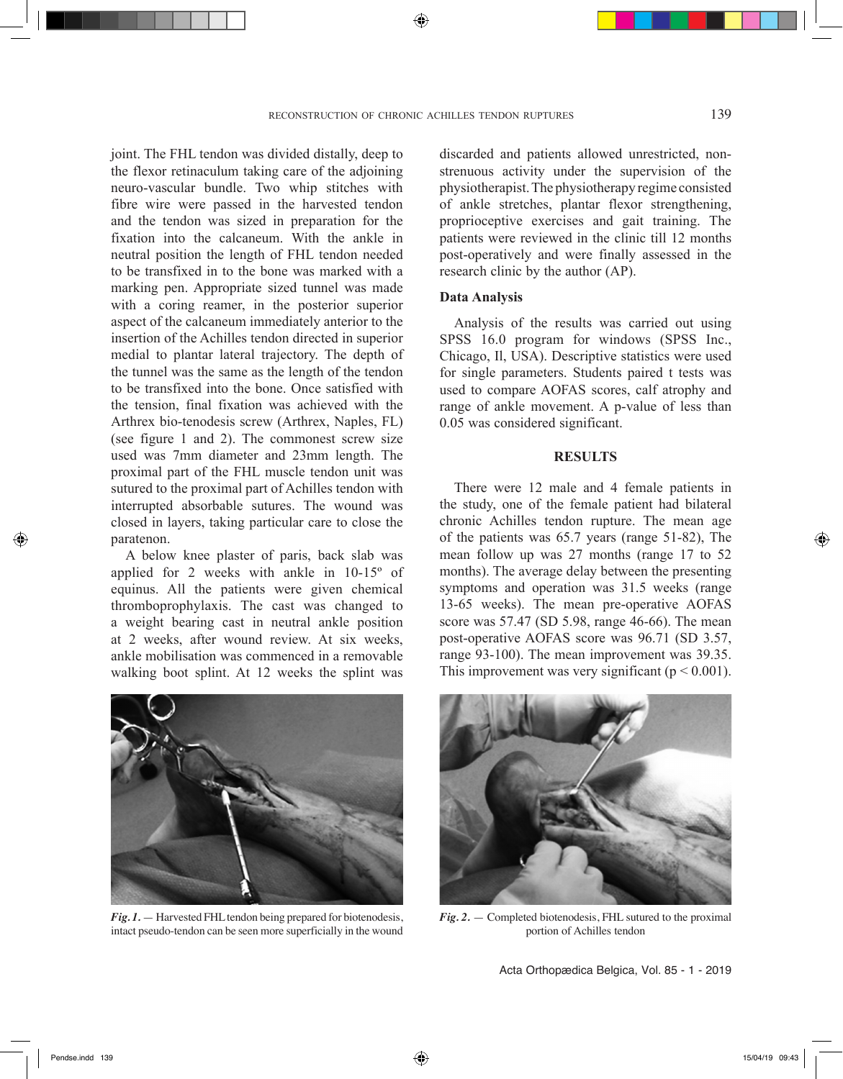joint. The FHL tendon was divided distally, deep to the flexor retinaculum taking care of the adjoining neuro-vascular bundle. Two whip stitches with fibre wire were passed in the harvested tendon and the tendon was sized in preparation for the fixation into the calcaneum. With the ankle in neutral position the length of FHL tendon needed to be transfixed in to the bone was marked with a marking pen. Appropriate sized tunnel was made with a coring reamer, in the posterior superior aspect of the calcaneum immediately anterior to the insertion of the Achilles tendon directed in superior medial to plantar lateral trajectory. The depth of the tunnel was the same as the length of the tendon to be transfixed into the bone. Once satisfied with the tension, final fixation was achieved with the Arthrex bio-tenodesis screw (Arthrex, Naples, FL) (see figure 1 and 2). The commonest screw size used was 7mm diameter and 23mm length. The proximal part of the FHL muscle tendon unit was sutured to the proximal part of Achilles tendon with interrupted absorbable sutures. The wound was closed in layers, taking particular care to close the paratenon.

A below knee plaster of paris, back slab was applied for 2 weeks with ankle in 10-15º of equinus. All the patients were given chemical thromboprophylaxis. The cast was changed to a weight bearing cast in neutral ankle position at 2 weeks, after wound review. At six weeks, ankle mobilisation was commenced in a removable walking boot splint. At 12 weeks the splint was



#### **Data Analysis**

Analysis of the results was carried out using SPSS 16.0 program for windows (SPSS Inc., Chicago, Il, USA). Descriptive statistics were used for single parameters. Students paired t tests was used to compare AOFAS scores, calf atrophy and range of ankle movement. A p-value of less than 0.05 was considered significant.

# **RESULTS**

There were 12 male and 4 female patients in the study, one of the female patient had bilateral chronic Achilles tendon rupture. The mean age of the patients was 65.7 years (range 51-82), The mean follow up was 27 months (range 17 to 52 months). The average delay between the presenting symptoms and operation was 31.5 weeks (range 13-65 weeks). The mean pre-operative AOFAS score was 57.47 (SD 5.98, range 46-66). The mean post-operative AOFAS score was 96.71 (SD 3.57, range 93-100). The mean improvement was 39.35. This improvement was very significant ( $p < 0.001$ ).



*Fig. 1.* — Harvested FHL tendon being prepared for biotenodesis, intact pseudo-tendon can be seen more superficially in the wound



*Fig. 2.* — Completed biotenodesis, FHL sutured to the proximal portion of Achilles tendon

Acta Orthopædica Belgica, Vol. 85 - 1 - 2019

◈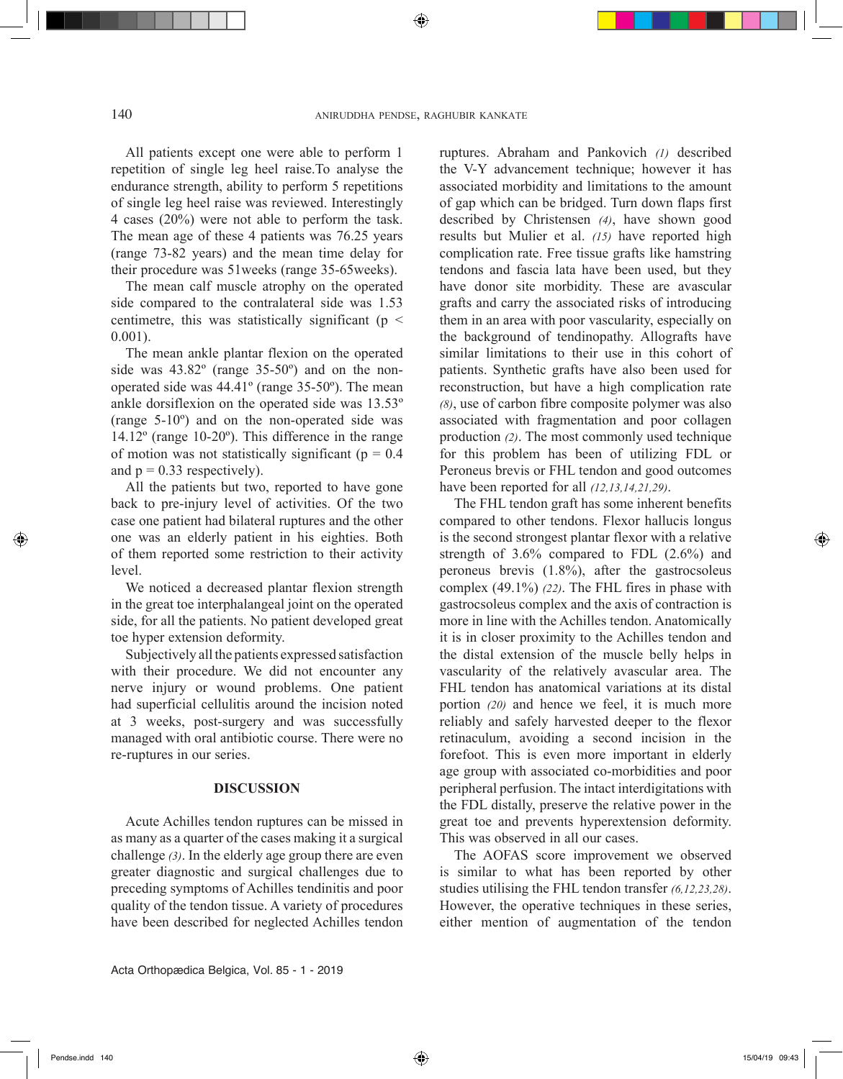⊕

All patients except one were able to perform 1 repetition of single leg heel raise.To analyse the endurance strength, ability to perform 5 repetitions of single leg heel raise was reviewed. Interestingly 4 cases (20%) were not able to perform the task. The mean age of these 4 patients was 76.25 years (range 73-82 years) and the mean time delay for their procedure was 51weeks (range 35-65weeks).

The mean calf muscle atrophy on the operated side compared to the contralateral side was 1.53 centimetre, this was statistically significant ( $p \le$ 0.001).

The mean ankle plantar flexion on the operated side was 43.82º (range 35-50º) and on the nonoperated side was 44.41º (range 35-50º). The mean ankle dorsiflexion on the operated side was 13.53º (range 5-10º) and on the non-operated side was 14.12º (range 10-20º). This difference in the range of motion was not statistically significant ( $p = 0.4$ ) and  $p = 0.33$  respectively).

All the patients but two, reported to have gone back to pre-injury level of activities. Of the two case one patient had bilateral ruptures and the other one was an elderly patient in his eighties. Both of them reported some restriction to their activity level.

We noticed a decreased plantar flexion strength in the great toe interphalangeal joint on the operated side, for all the patients. No patient developed great toe hyper extension deformity.

Subjectively all the patients expressed satisfaction with their procedure. We did not encounter any nerve injury or wound problems. One patient had superficial cellulitis around the incision noted at 3 weeks, post-surgery and was successfully managed with oral antibiotic course. There were no re-ruptures in our series.

#### **DISCUSSION**

Acute Achilles tendon ruptures can be missed in as many as a quarter of the cases making it a surgical challenge *(3)*. In the elderly age group there are even greater diagnostic and surgical challenges due to preceding symptoms of Achilles tendinitis and poor quality of the tendon tissue. A variety of procedures have been described for neglected Achilles tendon ruptures. Abraham and Pankovich *(1)* described the V-Y advancement technique; however it has associated morbidity and limitations to the amount of gap which can be bridged. Turn down flaps first described by Christensen *(4)*, have shown good results but Mulier et al. *(15)* have reported high complication rate. Free tissue grafts like hamstring tendons and fascia lata have been used, but they have donor site morbidity. These are avascular grafts and carry the associated risks of introducing them in an area with poor vascularity, especially on the background of tendinopathy. Allografts have similar limitations to their use in this cohort of patients. Synthetic grafts have also been used for reconstruction, but have a high complication rate *(8)*, use of carbon fibre composite polymer was also associated with fragmentation and poor collagen production *(2)*. The most commonly used technique for this problem has been of utilizing FDL or Peroneus brevis or FHL tendon and good outcomes have been reported for all *(12,13,14,21,29)*.

The FHL tendon graft has some inherent benefits compared to other tendons. Flexor hallucis longus is the second strongest plantar flexor with a relative strength of 3.6% compared to FDL (2.6%) and peroneus brevis (1.8%), after the gastrocsoleus complex (49.1%) *(22)*. The FHL fires in phase with gastrocsoleus complex and the axis of contraction is more in line with the Achilles tendon. Anatomically it is in closer proximity to the Achilles tendon and the distal extension of the muscle belly helps in vascularity of the relatively avascular area. The FHL tendon has anatomical variations at its distal portion *(20)* and hence we feel, it is much more reliably and safely harvested deeper to the flexor retinaculum, avoiding a second incision in the forefoot. This is even more important in elderly age group with associated co-morbidities and poor peripheral perfusion. The intact interdigitations with the FDL distally, preserve the relative power in the great toe and prevents hyperextension deformity. This was observed in all our cases.

The AOFAS score improvement we observed is similar to what has been reported by other studies utilising the FHL tendon transfer *(6,12,23,28)*. However, the operative techniques in these series, either mention of augmentation of the tendon

Acta Orthopædica Belgica, Vol. 85 - 1 - 2019

◈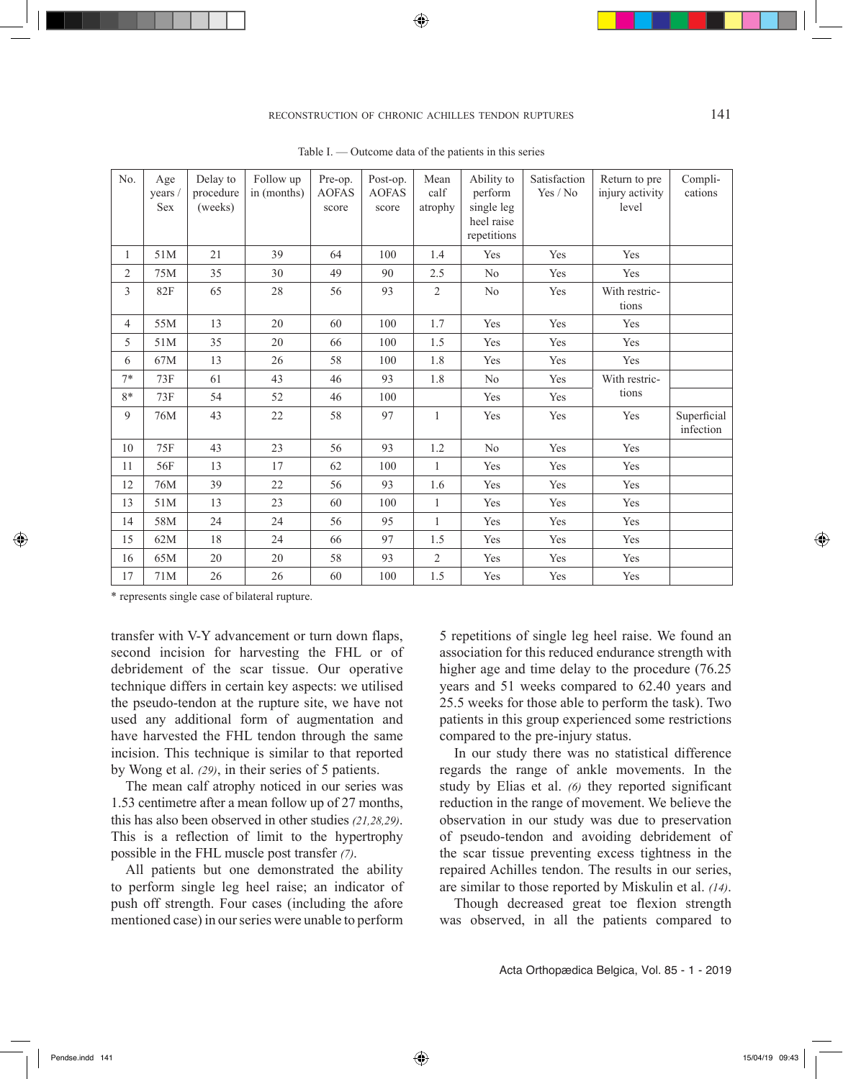◈

# reconstruction of chronic achilles tendon ruptures 141

| No.            | Age<br>years /<br><b>Sex</b> | Delay to<br>procedure<br>(weeks) | Follow up<br>in (months) | Pre-op.<br><b>AOFAS</b><br>score | Post-op.<br><b>AOFAS</b><br>score | Mean<br>calf<br>atrophy | Ability to<br>perform<br>single leg<br>heel raise<br>repetitions | Satisfaction<br>Yes / No | Return to pre<br>injury activity<br>level | Compli-<br>cations       |
|----------------|------------------------------|----------------------------------|--------------------------|----------------------------------|-----------------------------------|-------------------------|------------------------------------------------------------------|--------------------------|-------------------------------------------|--------------------------|
| 1              | 51M                          | 21                               | 39                       | 64                               | 100                               | 1.4                     | Yes                                                              | Yes                      | Yes                                       |                          |
| $\overline{c}$ | 75M                          | 35                               | 30                       | 49                               | 90                                | 2.5                     | N <sub>0</sub>                                                   | Yes                      | Yes                                       |                          |
| 3              | 82F                          | 65                               | 28                       | 56                               | 93                                | 2                       | $\rm No$                                                         | Yes                      | With restric-<br>tions                    |                          |
| 4              | 55M                          | 13                               | 20                       | 60                               | 100                               | 1.7                     | Yes                                                              | Yes                      | Yes                                       |                          |
| 5              | 51M                          | 35                               | 20                       | 66                               | 100                               | 1.5                     | Yes                                                              | Yes                      | Yes                                       |                          |
| 6              | 67M                          | 13                               | 26                       | 58                               | 100                               | 1.8                     | Yes                                                              | Yes                      | Yes                                       |                          |
| $7*$           | 73F                          | 61                               | 43                       | 46                               | 93                                | 1.8                     | No                                                               | Yes                      | With restric-<br>tions                    |                          |
| $8*$           | 73F                          | 54                               | 52                       | 46                               | 100                               |                         | Yes                                                              | Yes                      |                                           |                          |
| 9              | 76M                          | 43                               | 22                       | 58                               | 97                                | $\mathbf{1}$            | Yes                                                              | Yes                      | Yes                                       | Superficial<br>infection |
| 10             | 75F                          | 43                               | 23                       | 56                               | 93                                | 1.2                     | No                                                               | Yes                      | Yes                                       |                          |
| 11             | 56F                          | 13                               | 17                       | 62                               | 100                               | $\mathbf{1}$            | Yes                                                              | Yes                      | Yes                                       |                          |
| 12             | 76M                          | 39                               | 22                       | 56                               | 93                                | 1.6                     | Yes                                                              | Yes                      | Yes                                       |                          |
| 13             | 51M                          | 13                               | 23                       | 60                               | 100                               | $\mathbf{1}$            | Yes                                                              | Yes                      | Yes                                       |                          |
| 14             | 58M                          | 24                               | 24                       | 56                               | 95                                | $\mathbf{1}$            | Yes                                                              | Yes                      | Yes                                       |                          |
| 15             | 62M                          | 18                               | 24                       | 66                               | 97                                | 1.5                     | Yes                                                              | Yes                      | Yes                                       |                          |
| 16             | 65M                          | 20                               | 20                       | 58                               | 93                                | $\overline{c}$          | Yes                                                              | Yes                      | Yes                                       |                          |
| 17             | 71M                          | 26                               | 26                       | 60                               | 100                               | 1.5                     | Yes                                                              | Yes                      | Yes                                       |                          |

Table I. — Outcome data of the patients in this series

\* represents single case of bilateral rupture.

transfer with V-Y advancement or turn down flaps, second incision for harvesting the FHL or of debridement of the scar tissue. Our operative technique differs in certain key aspects: we utilised the pseudo-tendon at the rupture site, we have not used any additional form of augmentation and have harvested the FHL tendon through the same incision. This technique is similar to that reported by Wong et al. *(29)*, in their series of 5 patients.

The mean calf atrophy noticed in our series was 1.53 centimetre after a mean follow up of 27 months, this has also been observed in other studies *(21,28,29)*. This is a reflection of limit to the hypertrophy possible in the FHL muscle post transfer *(7)*.

All patients but one demonstrated the ability to perform single leg heel raise; an indicator of push off strength. Four cases (including the afore mentioned case) in our series were unable to perform

5 repetitions of single leg heel raise. We found an association for this reduced endurance strength with higher age and time delay to the procedure  $(76.25)$ years and 51 weeks compared to 62.40 years and 25.5 weeks for those able to perform the task). Two patients in this group experienced some restrictions compared to the pre-injury status.

In our study there was no statistical difference regards the range of ankle movements. In the study by Elias et al. *(6)* they reported significant reduction in the range of movement. We believe the observation in our study was due to preservation of pseudo-tendon and avoiding debridement of the scar tissue preventing excess tightness in the repaired Achilles tendon. The results in our series, are similar to those reported by Miskulin et al. *(14)*.

Though decreased great toe flexion strength was observed, in all the patients compared to

Acta Orthopædica Belgica, Vol. 85 - 1 - 2019

◈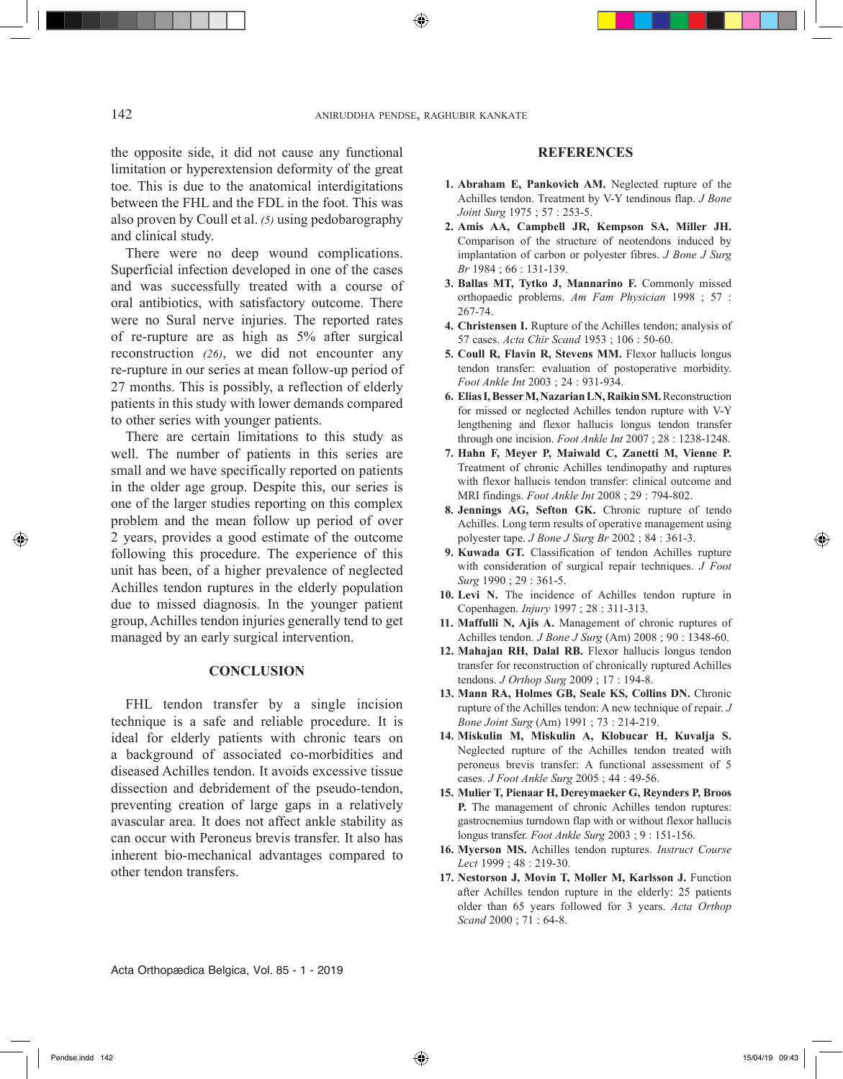the opposite side, it did not cause any functional limitation or hyperextension deformity of the great toe. This is due to the anatomical interdigitations between the FHL and the FDL in the foot. This was also proven by Coull et al. *(5)* using pedobarography and clinical study.

There were no deep wound complications. Superficial infection developed in one of the cases and was successfully treated with a course of oral antibiotics, with satisfactory outcome. There were no Sural nerve injuries. The reported rates of re-rupture are as high as 5% after surgical reconstruction *(26)*, we did not encounter any re-rupture in our series at mean follow-up period of 27 months. This is possibly, a reflection of elderly patients in this study with lower demands compared to other series with younger patients.

There are certain limitations to this study as well. The number of patients in this series are small and we have specifically reported on patients in the older age group. Despite this, our series is one of the larger studies reporting on this complex problem and the mean follow up period of over 2 years, provides a good estimate of the outcome following this procedure. The experience of this unit has been, of a higher prevalence of neglected Achilles tendon ruptures in the elderly population due to missed diagnosis. In the younger patient group, Achilles tendon injuries generally tend to get managed by an early surgical intervention.

#### **CONCLUSION**

FHL tendon transfer by a single incision technique is a safe and reliable procedure. It is ideal for elderly patients with chronic tears on a background of associated co-morbidities and diseased Achilles tendon. It avoids excessive tissue dissection and debridement of the pseudo-tendon, preventing creation of large gaps in a relatively avascular area. It does not affect ankle stability as can occur with Peroneus brevis transfer. It also has inherent bio-mechanical advantages compared to other tendon transfers.

## **REFERENCES**

- **1. Abraham E, Pankovich AM.** Neglected rupture of the Achilles tendon. Treatment by V-Y tendinous flap. *J Bone Joint Surg* 1975 ; 57 : 253-5.
- **2. Amis AA, Campbell JR, Kempson SA, Miller JH.** Comparison of the structure of neotendons induced by implantation of carbon or polyester fibres. *J Bone J Surg Br* 1984 ; 66 : 131-139.
- **3. Ballas MT, Tytko J, Mannarino F.** Commonly missed orthopaedic problems. *Am Fam Physician* 1998 ; 57 : 267-74.
- **4. Christensen I.** Rupture of the Achilles tendon; analysis of 57 cases. *Acta Chir Scand* 1953 ; 106 : 50-60.
- **5. Coull R, Flavin R, Stevens MM.** Flexor hallucis longus tendon transfer: evaluation of postoperative morbidity. *Foot Ankle Int* 2003 ; 24 : 931-934.
- **6. Elias I, Besser M, Nazarian LN, Raikin SM.** Reconstruction for missed or neglected Achilles tendon rupture with V-Y lengthening and flexor hallucis longus tendon transfer through one incision. *Foot Ankle Int* 2007 ; 28 : 1238-1248.
- **7. Hahn F, Meyer P, Maiwald C, Zanetti M, Vienne P.** Treatment of chronic Achilles tendinopathy and ruptures with flexor hallucis tendon transfer: clinical outcome and MRI findings. *Foot Ankle Int* 2008 ; 29 : 794-802.
- **8. Jennings AG, Sefton GK.** Chronic rupture of tendo Achilles. Long term results of operative management using polyester tape. *J Bone J Surg Br* 2002 ; 84 : 361-3.
- **9. Kuwada GT.** Classification of tendon Achilles rupture with consideration of surgical repair techniques. *J Foot Surg* 1990 ; 29 : 361-5.
- **10. Levi N.** The incidence of Achilles tendon rupture in Copenhagen. *Injury* 1997 ; 28 : 311-313.
- **11. Maffulli N, Ajis A.** Management of chronic ruptures of Achilles tendon. *J Bone J Surg* (Am) 2008 ; 90 : 1348-60.
- **12. Mahajan RH, Dalal RB.** Flexor hallucis longus tendon transfer for reconstruction of chronically ruptured Achilles tendons. *J Orthop Surg* 2009 ; 17 : 194-8.
- **13. Mann RA, Holmes GB, Seale KS, Collins DN.** Chronic rupture of the Achilles tendon: A new technique of repair. *J Bone Joint Surg* (Am) 1991 ; 73 : 214-219.
- **14. Miskulin M, Miskulin A, Klobucar H, Kuvalja S.** Neglected rupture of the Achilles tendon treated with peroneus brevis transfer: A functional assessment of 5 cases. *J Foot Ankle Surg* 2005 ; 44 : 49-56.
- **15. Mulier T, Pienaar H, Dereymaeker G, Reynders P, Broos P.** The management of chronic Achilles tendon ruptures: gastrocnemius turndown flap with or without flexor hallucis longus transfer. *Foot Ankle Surg* 2003 ; 9 : 151-156.
- **16. Myerson MS.** Achilles tendon ruptures. *Instruct Course Lect* 1999 ; 48 : 219-30.
- **17. Nestorson J, Movin T, Moller M, Karlsson J.** Function after Achilles tendon rupture in the elderly: 25 patients older than 65 years followed for 3 years. *Acta Orthop Scand* 2000 ; 71 : 64-8.

Acta Orthopædica Belgica, Vol. 85 - 1 - 2019